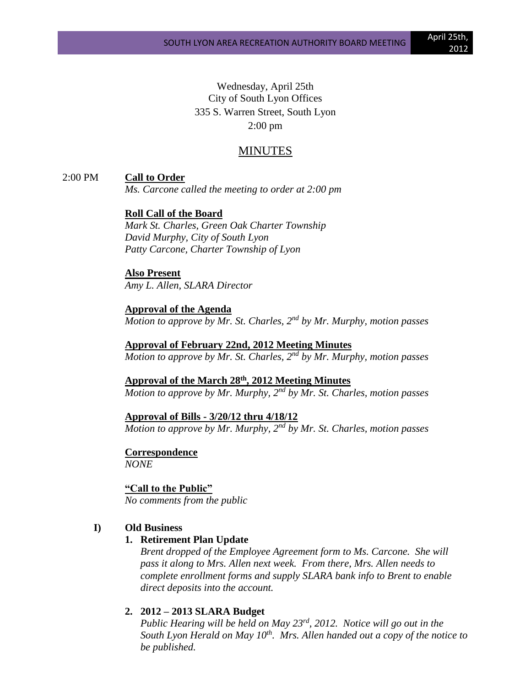Wednesday, April 25th City of South Lyon Offices 335 S. Warren Street, South Lyon 2:00 pm

# MINUTES

2:00 PM **Call to Order**

*Ms. Carcone called the meeting to order at 2:00 pm*

# **Roll Call of the Board**

*Mark St. Charles, Green Oak Charter Township David Murphy, City of South Lyon Patty Carcone, Charter Township of Lyon*

**Also Present**

*Amy L. Allen, SLARA Director*

**Approval of the Agenda** *Motion to approve by Mr. St. Charles, 2nd by Mr. Murphy, motion passes*

**Approval of February 22nd, 2012 Meeting Minutes** *Motion to approve by Mr. St. Charles, 2nd by Mr. Murphy, motion passes*

**Approval of the March 28th, 2012 Meeting Minutes** *Motion to approve by Mr. Murphy, 2nd by Mr. St. Charles, motion passes*

### **Approval of Bills - 3/20/12 thru 4/18/12**

*Motion to approve by Mr. Murphy, 2nd by Mr. St. Charles, motion passes*

**Correspondence**

*NONE*

**"Call to the Public"**

*No comments from the public*

# **I) Old Business**

# **1. Retirement Plan Update**

*Brent dropped of the Employee Agreement form to Ms. Carcone. She will pass it along to Mrs. Allen next week. From there, Mrs. Allen needs to complete enrollment forms and supply SLARA bank info to Brent to enable direct deposits into the account.*

#### **2. 2012 – 2013 SLARA Budget**

*Public Hearing will be held on May 23rd, 2012. Notice will go out in the South Lyon Herald on May 10th. Mrs. Allen handed out a copy of the notice to be published.*